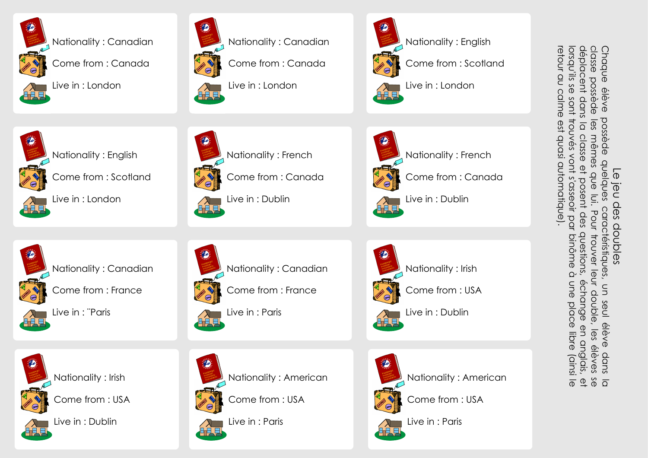

Nationality : Canadian



Live in : London



Nationality : Canadian

Come from : Canada

Live in : London



Nationality : English

Come from : Scotland



 Nationality : French Live in : Dublin

Come from : Canada



Come from : Scotland



Live in : London

Nationality : English



Nationality : Canadian



Come from : France

Nationality : Canadian



Live in : ¨Paris







Come from : France

Live in : Paris



Come from : USA



Live in : Dublin



Nationality : American



Nationality : Irish

Come from : USA



Live in : Dublin



Nationality : American

Come from : USA



Live in : Paris

Come from : USA



Chaque

classe

possède<br>ent dans

déplacent

lorsqu'ils

retour

g

calme

est

quasi

automatique).

က<br>က

sont

trouvés

vont

s'asseoir

par

binôme

à une

place

libre<br>19

(ainsi

 $\overline{\mathbb{O}}$ 

 $\overline{\Omega}$ 

classe

 $\Phi$ 

posen

des

questions,

échange

ወ<br>ጋ

anglais,

 $\overline{\mathbb{G}}$ 

mêmes

a<br>Ro

<u>Ē</u>.

Pour

trouver

leur

double,

 $\overline{\mathbb{Q}}$ 

élèves

éve<br>Ré

possède

quelques

caractéristiques,

aractéristiques

S<br>2

seul

éve<br>Ve

dans

 $\frac{\alpha}{2}$  ក៏ ក